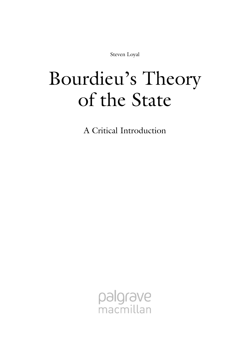Steven Loyal

## Bourdieu's Theory of the State

A Critical Introduction

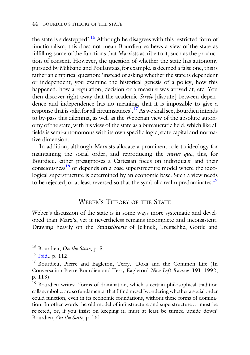the state is sidestepped'.<sup>[16](#page-1-0)</sup> Although he disagrees with this restricted form of functionalism, this does not mean Bourdieu eschews a view of the state as fulfilling some of the functions that Marxists ascribe to it, such as the production of consent. However, the question of whether the state has autonomy pursued by Miliband and Poulantzas, for example, is deemed a false one, this is rather an empirical question: 'instead of asking whether the state is dependent or independent, you examine the historical genesis of a policy, how this happened, how a regulation, decision or a measure was arrived at, etc. You then discover right away that the academic *Streit* [dispute] between dependence and independence has no meaning, that it is impossible to give a response that is valid for all circumstances'.<sup>[17](#page-1-1)</sup> As we shall see, Bourdieu intends to by-pass this dilemma, as well as the Weberian view of the absolute autonomy of the state, with his view of the state as a bureaucratic field, which like all fields is semi-autonomous with its own specific logic, state capital and normative dimension.

In addition, although Marxists allocate a prominent role to ideology for maintaining the social order, and reproducing the *status quo*, this, for Bourdieu, either presupposes a Cartesian focus on individuals' and their consciousness $^{18}$  $^{18}$  $^{18}$  or depends on a base superstructure model where the ideological superstructure is determined by an economic base. Such a view needs to be rejected, or at least reversed so that the symbolic realm predominates.<sup>19</sup>

## WEBER'<sup>S</sup> THEORY OF THE STATE

Weber's discussion of the state is in some ways more systematic and developed than Marx's, yet it nevertheless remains incomplete and inconsistent. Drawing heavily on the Staatstheorie of Jellinek, Treitschke, Gottle and

<span id="page-1-0"></span><sup>16</sup> Bourdieu, On the State, p. 5.

<span id="page-1-2"></span><sup>18</sup> Bourdieu, Pierre and Eagleton, Terry. 'Doxa and the Common Life (In Conversation Pierre Bourdieu and Terry Eagleton' New Left Review. 191. 1992, p. 113).

<span id="page-1-3"></span><sup>19</sup> Bourdieu writes: 'forms of domination, which a certain philosophical tradition calls symbolic, are so fundamental that I find myself wondering whether a social order could function, even in its economic foundations, without these forms of domination. In other words the old model of infrastructure and superstructure ... must be rejected, or, if you insist on keeping it, must at least be turned upside down' Bourdieu, On the State, p. 161.

<span id="page-1-1"></span> $17$  [Ibid.](#page-1-0), p. 112.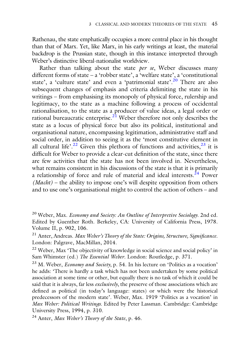Rathenau, the state emphatically occupies a more central place in his thought than that of Marx. Yet, like Marx, in his early writings at least, the material backdrop is the Prussian state, though in this instance interpreted through Weber's distinctive liberal-nationalist worldview.

Rather than talking about the state per  $se$ , Weber discusses many different forms of state – a 'robber state', a 'welfare state', a 'constitutional state', a 'culture state' and even a 'patrimonial state'.<sup>[20](#page-2-0)</sup> There are also subsequent changes of emphasis and criteria delimiting the state in his writings – from emphasising its monopoly of physical force, rulership and legitimacy, to the state as a machine following a process of occidental rationalisation, to the state as a producer of value ideas, a legal order or rational bureaucratic enterprise.[21](#page-2-1) Weber therefore not only describes the state as a locus of physical force but also its political, institutional and organisational nature, encompassing legitimation, administrative staff and social order, in addition to seeing it as the 'most constitutive element in all cultural life'.<sup>[22](#page-2-2)</sup> Given this plethora of functions and activities,<sup>[23](#page-2-3)</sup> it is difficult for Weber to provide a clear-cut definition of the state, since there are few activities that the state has not been involved in. Nevertheless, what remains consistent in his discussions of the state is that it is primarily a relationship of force and rule of material and ideal interests.  $24$  Power  $(Macht)$  – the ability to impose one's will despite opposition from others and to use one's organisational might to control the action of others – and

<span id="page-2-1"></span><sup>21</sup> Anter, Andreas. Max Weber's Theory of the State: Origins, Structure, Significance. London: Palgrave, MacMillan, 2014.

<span id="page-2-0"></span><sup>&</sup>lt;sup>20</sup> Weber, Max. Economy and Society: An Outline of Interpretive Sociology. 2nd ed. Edited by Guenther Roth. Berkeley, CA: University of California Press, 1978. Volume II, p. 902, 106.

<span id="page-2-2"></span><sup>22</sup> Weber, Max 'The objectivity of knowledge in social science and social policy' in Sam Whimster (ed.) The Essential Weber. London: Routledge, p. 371.

<span id="page-2-3"></span><sup>23</sup> M. Weber, Economy and Society, p. 54. In his lecture on 'Politics as a vocation' he adds: 'There is hardly a task which has not been undertaken by some political association at some time or other, but equally there is no task of which it could be said that it is always, far less exclusively, the preserve of those associations which are defined as political (in today's language: states) or which were the historical predecessors of the modern state'. Weber, Max. 1919 'Politics as a vocation' in Max Weber: Political Writings. Edited by Peter Lassman. Cambridge: Cambridge University Press, 1994, p. 310.

<span id="page-2-4"></span><sup>&</sup>lt;sup>24</sup> Anter, Max Weber's Theory of the State, p. 46.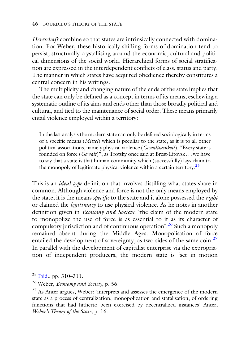Herrschaft combine so that states are intrinsically connected with domination. For Weber, these historically shifting forms of domination tend to persist, structurally crystallising around the economic, cultural and political dimensions of the social world. Hierarchical forms of social stratification are expressed in the interdependent conflicts of class, status and party. The manner in which states have acquired obedience thereby constitutes a central concern in his writings.

The multiplicity and changing nature of the ends of the state implies that the state can only be defined as a concept in terms of its means, eschewing a systematic outline of its aims and ends other than those broadly political and cultural, and tied to the maintenance of social order. These means primarily entail violence employed within a territory:

In the last analysis the modern state can only be defined sociologically in terms of a specific means (Mittel) which is peculiar to the state, as it is to all other political associations, namely physical violence (Gewaltsamkeit). "Every state is founded on force (Gewalt)", as Trotsky once said at Brest-Litovsk . . . we have to say that a state is that human community which (successfully) lays claim to the monopoly of legitimate physical violence within a certain territory.<sup>25</sup>

This is an *ideal type* definition that involves distilling what states share in common. Although violence and force is not the only means employed by the state, it is the means *specific* to the state and it alone possessed the *right* or claimed the *legitimacy* to use physical violence. As he notes in another definition given in Economy and Society: 'the claim of the modern state to monopolize the use of force is as essential to it as its character of compulsory jurisdiction and of continuous operation'. [26](#page-3-1) Such a monopoly remained absent during the Middle Ages. Monopolisation of force entailed the development of sovereignty, as two sides of the same coin.<sup>[27](#page-3-2)</sup> In parallel with the development of capitalist enterprise via the expropriation of independent producers, the modern state is 'set in motion

<span id="page-3-0"></span> $^{25}$  [Ibid.](#page-2-4), pp. 310–311.

<span id="page-3-1"></span><sup>26</sup> Weber, Economy and Society, p. 56.

<span id="page-3-2"></span><sup>&</sup>lt;sup>27</sup> As Anter argues, Weber: 'interprets and assesses the emergence of the modern state as a process of centralization, monopolization and statalisation, of ordering functions that had hitherto been exercised by decentralized instances' Anter, Weber's Theory of the State, p. 16.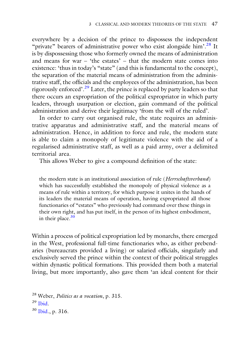everywhere by a decision of the prince to dispossess the independent "private" bearers of administrative power who exist alongside him'.<sup>[28](#page-4-0)</sup> It is by dispossessing those who formerly owned the means of administration and means for war – 'the estates' – that the modern state comes into existence: 'thus in today's "state" (and this is fundamental to the concept), the separation of the material means of administration from the administrative staff, the officials and the employees of the administration, has been rigorously enforced'.<sup>[29](#page-4-1)</sup> Later, the prince is replaced by party leaders so that there occurs an expropriation of the political expropriator in which party leaders, through usurpation or election, gain command of the political administration and derive their legitimacy 'from the will of the ruled'.

In order to carry out organised rule, the state requires an administrative apparatus and administrative staff, and the material means of administration. Hence, in addition to force and rule, the modern state is able to claim a monopoly of legitimate violence with the aid of a regularised administrative staff, as well as a paid army, over a delimited territorial area.

This allows Weber to give a compound definition of the state:

the modern state is an institutional association of rule (Herrschaftsverband) which has successfully established the monopoly of physical violence as a means of rule within a territory, for which purpose it unites in the hands of its leaders the material means of operation, having expropriated all those functionaries of "estates" who previously had command over these things in their own right, and has put itself, in the person of its highest embodiment, in their place. $30$ 

Within a process of political expropriation led by monarchs, there emerged in the West, professional full-time functionaries who, as either prebendaries (bureaucrats provided a living) or salaried officials, singularly and exclusively served the prince within the context of their political struggles within dynastic political formations. This provided them both a material living, but more importantly, also gave them 'an ideal content for their

<span id="page-4-2"></span><span id="page-4-1"></span><span id="page-4-0"></span><sup>28</sup> Weber, Politics as a vocation, p. 315.  $29$  [Ibid.](#page-4-0)  $30$  [Ibid.](#page-4-0), p. 316.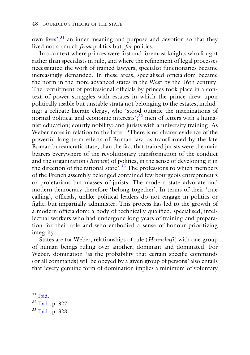own lives',<sup>[31](#page-5-0)</sup> an inner meaning and purpose and devotion so that they lived not so much *from* politics but, *for* politics.

In a context where princes were first and foremost knights who fought rather than specialists in rule, and where the refinement of legal processes necessitated the work of trained lawyers, specialist functionaries became increasingly demanded. In these areas, specialised officialdom became the norm in the more advanced states in the West by the 16th century. The recruitment of professional officials by princes took place in a context of power struggles with estates in which the prince drew upon politically usable but unstable strata not belonging to the estates, including: a celibate literate clergy, who 'stood outside the machinations of normal political and economic interests';<sup>[32](#page-5-1)</sup> men of letters with a humanist education; courtly nobility; and jurists with a university training. As Weber notes in relation to the latter: 'There is no clearer evidence of the powerful long-term effects of Roman law, as transformed by the late Roman bureaucratic state, than the fact that trained jurists were the main bearers everywhere of the revolutionary transformation of the conduct and the organization (Betrieb) of politics, in the sense of developing it in the direction of the rational state<sup>5</sup>.<sup>[33](#page-5-2)</sup> The professions to which members of the French assembly belonged contained few bourgeois entrepreneurs or proletarians but masses of jurists. The modern state advocate and modern democracy therefore 'belong together'. In terms of their 'true calling', officials, unlike political leaders do not engage in politics or fight, but impartially administer. This process has led to the growth of a modern officialdom: a body of technically qualified, specialised, intellectual workers who had undergone long years of training and preparation for their role and who embodied a sense of honour prioritizing integrity.

States are for Weber, relationships of rule (*Herrschaft*) with one group of human beings ruling over another, dominant and dominated. For Weber, domination 'as the probability that certain specific commands (or all commands) will be obeyed by a given group of persons' also entails that 'every genuine form of domination implies a minimum of voluntary

<span id="page-5-2"></span><span id="page-5-1"></span><span id="page-5-0"></span> $31$  [Ibid.](#page-4-0) <sup>32</sup> [Ibid.](#page-4-0), p. 327. <sup>33</sup> [Ibid.](#page-4-0), p. 328.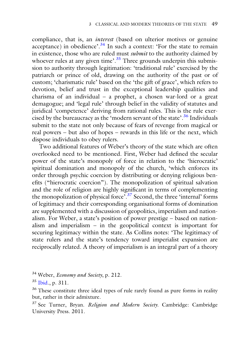compliance, that is, an *interest* (based on ulterior motives or genuine acceptance) in obedience'.<sup>[34](#page-6-0)</sup> In such a context: 'For the state to remain in existence, those who are ruled must submit to the authority claimed by whoever rules at any given time'.<sup>[35](#page-6-1)</sup> Three grounds underpin this submission to authority through legitimation: 'traditional rule' exercised by the patriarch or prince of old, drawing on the authority of the past or of custom; 'charismatic rule' based on the 'the gift of grace', which refers to devotion, belief and trust in the exceptional leadership qualities and charisma of an individual – a prophet, a chosen war-lord or a great demagogue; and 'legal rule' through belief in the validity of statutes and juridical 'competence' deriving from rational rules. This is the rule exer-cised by the bureaucracy as the 'modern servant of the state'.<sup>[36](#page-6-2)</sup> Individuals submit to the state not only because of fears of revenge from magical or real powers – but also of hopes – rewards in this life or the next, which dispose individuals to obey rulers.

Two additional features of Weber's theory of the state which are often overlooked need to be mentioned. First, Weber had defined the secular power of the state's monopoly of force in relation to the 'hierocratic' spiritual domination and monopoly of the church, 'which enforces its order through psychic coercion by distributing or denying religious benefits ("hierocratic coercion"). The monopolization of spiritual salvation and the role of religion are highly significant in terms of complementing the monopolization of physical force<sup>7</sup>.<sup>[37](#page-6-3)</sup> Second, the three 'internal' forms of legitimacy and their corresponding organisational forms of domination are supplemented with a discussion of geopolitics, imperialism and nationalism. For Weber, a state's position of power prestige – based on nationalism and imperialism – in the geopolitical context is important for securing legitimacy within the state. As Collins notes: 'The legitimacy of state rulers and the state's tendency toward imperialist expansion are reciprocally related. A theory of imperialism is an integral part of a theory

<span id="page-6-0"></span><sup>34</sup> Weber, Economy and Society, p. 212.

<span id="page-6-1"></span><sup>35</sup> [Ibid.](#page-6-0), p. 311.

<span id="page-6-2"></span><sup>36</sup> These constitute three ideal types of rule rarely found as pure forms in reality but, rather in their admixture.

<span id="page-6-3"></span><sup>37</sup> See Turner, Bryan. Religion and Modern Society. Cambridge: Cambridge University Press. 2011.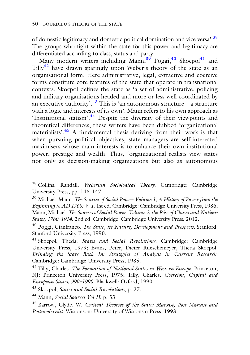of domestic legitimacy and domestic political domination and vice versa'.<sup>[38](#page-7-0)</sup> The groups who fight within the state for this power and legitimacy are differentiated according to class, status and party.

Many modern writers including Mann,  $39^{39}$  $39^{39}$  Poggi,  $40^{40}$  $40^{40}$  Skocpol<sup>[41](#page-7-3)</sup> and  $Tilly<sup>42</sup>$  $Tilly<sup>42</sup>$  $Tilly<sup>42</sup>$  have drawn sparingly upon Weber's theory of the state as an organisational form. Here administrative, legal, extractive and coercive forms constitute core features of the state that operate in transnational contexts. Skocpol defines the state as 'a set of administrative, policing and military organisations headed and more or less well coordinated by an executive authority'.<sup>[43](#page-7-5)</sup> This is 'an autonomous structure – a structure with a logic and interests of its own'. Mann refers to his own approach as 'Institutional statism'.<sup>[44](#page-7-6)</sup> Despite the diversity of their viewpoints and theoretical differences, these writers have been dubbed 'organizational materialists'.<sup>[45](#page-7-7)</sup> A fundamental thesis deriving from their work is that when pursuing political objectives, state managers are self-interested maximisers whose main interests is to enhance their own institutional power, prestige and wealth. Thus, 'organizational realists view states not only as decision-making organizations but also as autonomous

<span id="page-7-0"></span><sup>38</sup> Collins, Randall. Weberian Sociological Theory. Cambridge: Cambridge University Press, pp. 146–147.

<span id="page-7-1"></span><sup>39</sup> Michael, Mann. The Sources of Social Power: Volume 1, A History of Power from the Beginning to AD 1760: V. 1. 1st ed. Cambridge: Cambridge University Press, 1986; Mann, Michael. The Sources of Social Power: Volume 2, the Rise of Classes and Nation-States, 1760–1914. 2nd ed. Cambridge: Cambridge University Press, 2012.

<span id="page-7-2"></span> $40$  Poggi, Gianfranco. The State, its Nature, Development and Prospects, Stanford: Stanford University Press, 1990.

<span id="page-7-3"></span><sup>41</sup> Skocpol, Theda. States and Social Revolutions. Cambridge: Cambridge University Press, 1979; Evans, Peter, Dieter Rueschemeyer, Theda Skocpol. Bringing the State Back In: Strategies of Analysis in Current Research. Cambridge: Cambridge University Press, 1985.

<span id="page-7-4"></span><sup>42</sup> Tilly, Charles. The Formation of National States in Western Europe. Princeton, NJ: Princeton University Press, 1975; Tilly, Charles. Coercion, Capital and European States, 990–1990. Blackwell: Oxford, 1990.

<span id="page-7-5"></span><sup>43</sup> Skocpol, States and Social Revolutions, p. 27.

<span id="page-7-6"></span><sup>44</sup> Mann, Social Sources Vol II, p. 53.

<span id="page-7-7"></span><sup>45</sup> Barrow, Clyde. W. Critical Theories of the State: Marxist, Post Marxist and Postmodernist. Wisconson: University of Wisconsin Press, 1993.